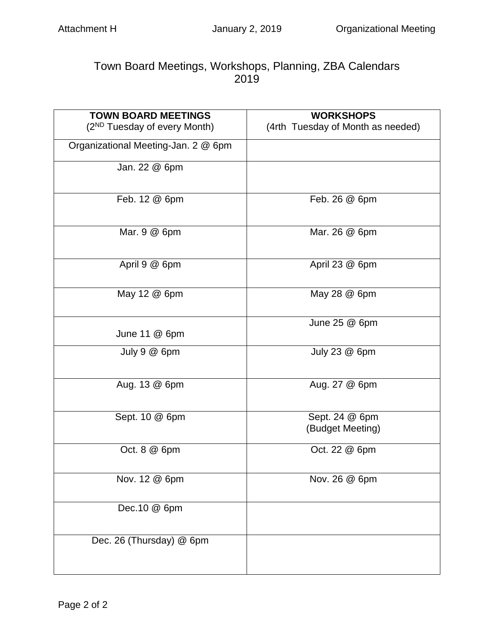## Town Board Meetings, Workshops, Planning, ZBA Calendars 2019

| <b>TOWN BOARD MEETINGS</b>               | <b>WORKSHOPS</b>                   |
|------------------------------------------|------------------------------------|
| (2 <sup>ND</sup> Tuesday of every Month) | (4rth Tuesday of Month as needed)  |
| Organizational Meeting-Jan. 2 @ 6pm      |                                    |
| Jan. 22 @ 6pm                            |                                    |
| Feb. 12 @ 6pm                            | Feb. 26 @ 6pm                      |
| Mar. 9 @ 6pm                             | Mar. 26 @ 6pm                      |
| April 9 @ 6pm                            | April 23 @ 6pm                     |
| May 12 @ 6pm                             | May 28 @ 6pm                       |
| June 11 $@$ 6pm                          | June $25@6$ pm                     |
| July 9 @ 6pm                             | July 23 @ 6pm                      |
| Aug. 13 @ 6pm                            | Aug. 27 @ 6pm                      |
| Sept. 10 @ 6pm                           | Sept. 24 @ 6pm<br>(Budget Meeting) |
| Oct. 8 @ 6pm                             | Oct. 22 @ 6pm                      |
| Nov. 12 @ 6pm                            | Nov. 26 @ 6pm                      |
| Dec.10 @ 6pm                             |                                    |
| Dec. 26 (Thursday) @ 6pm                 |                                    |